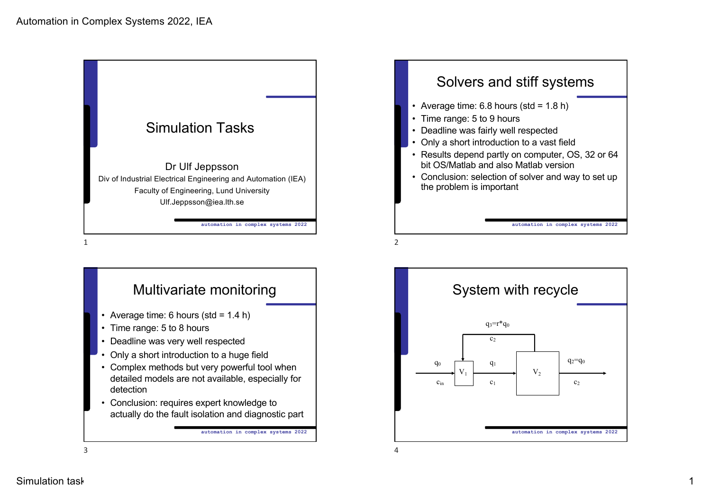





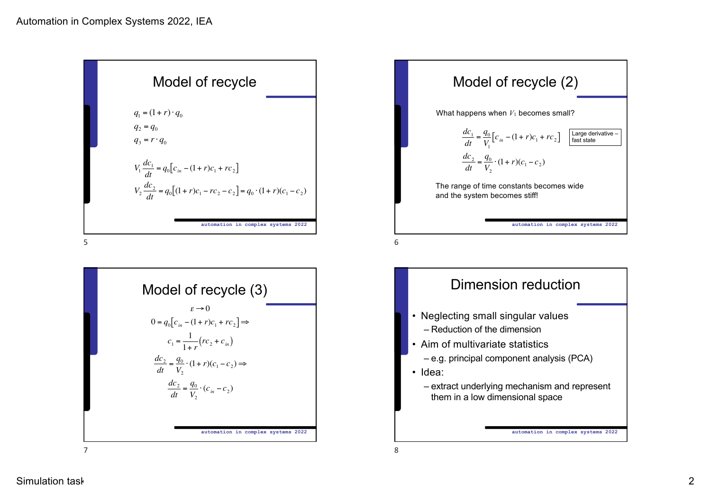

5







7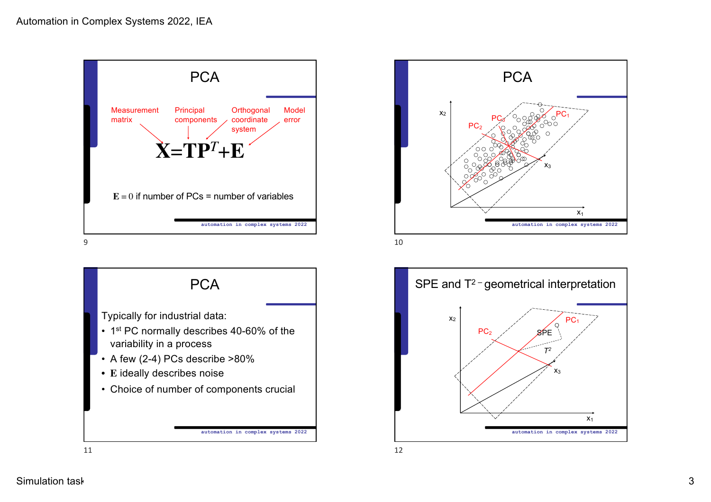